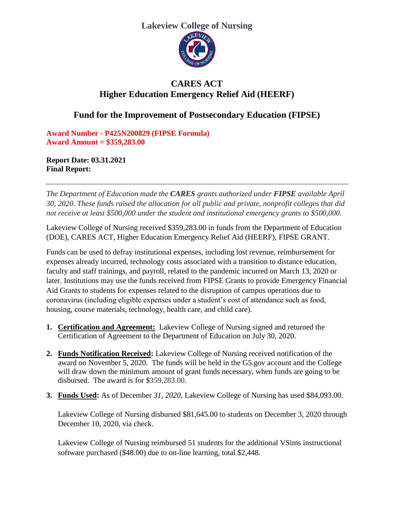### **Lakeview College of Nursing**



# **CARES ACT Higher Education Emergency Relief Aid (HEERF)**

## **Fund for the Improvement of Postsecondary Education (FIPSE)**

**Award Number - P425N200829 (FIPSE Formula) Award Amount = \$359,283.00**

**Report Date: 03.31.2021 Final Report:** 

*The Department of Education made the CARES grants authorized under FIPSE available April 30, 2020. These funds raised the allocation for all public and private, nonprofit colleges that did not receive at least \$500,000 under the student and institutional emergency grants to \$500,000.* 

Lakeview College of Nursing received \$359,283.00 in funds from the Department of Education (DOE), CARES ACT, Higher Education Emergency Relief Aid (HEERF), FIPSE GRANT.

Funds can be used to defray institutional expenses, including lost revenue, reimbursement for expenses already incurred, technology costs associated with a transition to distance education, faculty and staff trainings, and payroll, related to the pandemic incurred on March 13, 2020 or later. Institutions may use the funds received from FIPSE Grants to provide Emergency Financial Aid Grants to students for expenses related to the disruption of campus operations due to coronavirus (including eligible expenses under a student's cost of attendance such as food, housing, course materials, technology, health care, and child care).

- **1. Certification and Agreement:** Lakeview College of Nursing signed and returned the Certification of Agreement to the Department of Education on July 30, 2020.
- **2. Funds Notification Received:** Lakeview College of Nursing received notification of the award on November 5, 2020. The funds will be held in the G5.gov account and the College will draw down the minimum amount of grant funds necessary, when funds are going to be disbursed. The award is for \$359,283.00.
- **3. Funds Used:** As of December *31, 2020*, Lakeview College of Nursing has used \$84,093.00.

Lakeview College of Nursing disbursed \$81,645.00 to students on December 3, 2020 through December 10, 2020, via check.

Lakeview College of Nursing reimbursed 51 students for the additional VSims instructional software purchased (\$48.00) due to on-line learning, total \$2,448.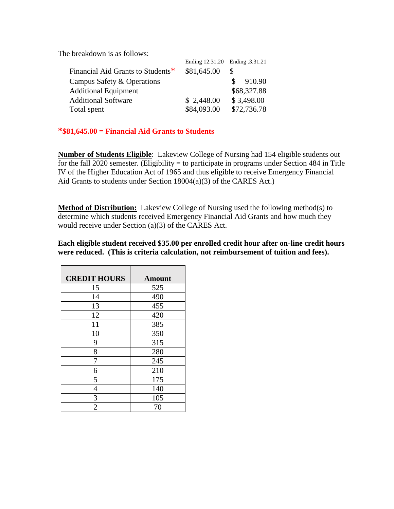The breakdown is as follows:

|                                   | Ending 12.31.20 Ending .3.31.21 |              |
|-----------------------------------|---------------------------------|--------------|
| Financial Aid Grants to Students* | \$81,645.00                     |              |
| Campus Safety & Operations        |                                 | 910.90<br>S. |
| <b>Additional Equipment</b>       |                                 | \$68,327.88  |
| <b>Additional Software</b>        | \$2,448.00                      | \$3,498.00   |
| Total spent                       | \$84,093.00                     | \$72,736.78  |

#### **\*\$81,645.00 = Financial Aid Grants to Students**

**Number of Students Eligible**: Lakeview College of Nursing had 154 eligible students out for the fall 2020 semester. (Eligibility = to participate in programs under Section 484 in Title IV of the Higher Education Act of 1965 and thus eligible to receive Emergency Financial Aid Grants to students under Section 18004(a)(3) of the CARES Act.)

**Method of Distribution:** Lakeview College of Nursing used the following method(s) to determine which students received Emergency Financial Aid Grants and how much they would receive under Section (a)(3) of the CARES Act.

**Each eligible student received \$35.00 per enrolled credit hour after on-line credit hours were reduced. (This is criteria calculation, not reimbursement of tuition and fees).**

| <b>CREDIT HOURS</b> | <b>Amount</b> |  |
|---------------------|---------------|--|
| 15                  | 525           |  |
| 14                  | 490           |  |
| 13                  | 455           |  |
| 12                  | 420           |  |
| 11                  | 385           |  |
| 10                  | 350           |  |
| 9                   | 315           |  |
| 8                   | 280           |  |
| 7                   | 245           |  |
| 6                   | 210           |  |
| 5                   | 175           |  |
| 4                   | 140           |  |
| 3                   | 105           |  |
| $\overline{2}$      | 70            |  |